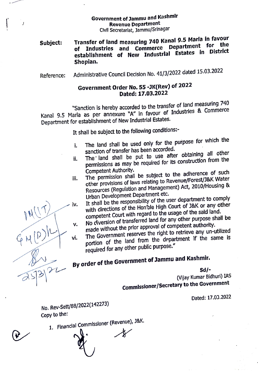## Government of Jammu and Kashmlr Revenue Department Civil Secretarlat, Jammu/Srinagar

## Subject: Transfer of land measuring 740 Kanal 9.5 Marla in favour Transfer of land measuring 740 Kanal 212 Theory.<br>
of Industries and Commerce Department for the establishment of New Industrlal Estates in DIstrict Shopian.

Reference: Administrative Council Decision No. 41/3/2022 dated 15.03.2022

## Government Order No. 55-JK(Rev) of 2022 Dated: 17.03.2022

Sanction Is hereby accorded to the transfer of land measuring <sup>740</sup> Kanal 9.5 Marla as per annexure "A" In favour of Industries & Commerce Department for establishment of New Industrial Estates.

It shall be subject to the following conditions:

- . The land shall be used only for the purpose for which the sanction of transfer has been accorded.
- ii. The land shall be put to use after obtaining all other permissions as may be required for its construction from the Competent Authority.
- Competent Authority.<br>iii. The permission shall be subject to the adherence of such<br>the subject to Peyenue/Forest/J&K Water other provisions of laws relating to Revenue/Forest/J&K Water Resources (Regulation and Management) Act, 2010/Housing & Urban Development Department etc.
- iv. It shall be the responsibility of the user department to comply with directions of the Hon'ble High Court of J&K or any other competent Court with regard to the usage of the said land. No diversion of transferred land for any other purpose shall be
- made without the prior approval of competent authority. v.
- The Government reserves the right to retrieve any un-utilized vi. portion of the land from the department if the same is required for any other public purpose."

By order of the Government of Jammu and Kashmir.<br>  $\widehat{S}(3)$ 

Sd/-

(Vijay Kumar Bidhuri) IAS Commlssloner/Secretary to the Government

Dated: 17.03.2022

No. Rev-Sett/88/2022(142273) Copy to the:

1. Financlal Commissloner (Revenue), J&K.

Ĵ

 $\bigwedge$ 

 $\overline{\phantom{a}}$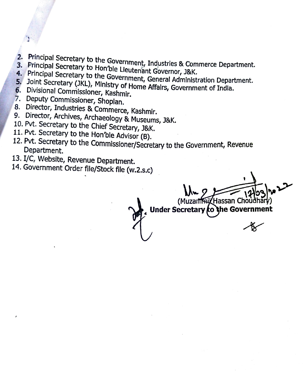- 2. Principal Secretary to
- 3. Principal
- Secretary to Hon'ble
- 2. Principal Secretary to the Government, Industries & Commerce Department.<br>3. Principal Secretary to the Government, Governor, J&K.<br>5. Joint Secretary (JKL), Ministry of Home Affairs. Government of India
- 
- 
- 
- 
- 
- 
- 
- 5. Joint Secretary (JKL), Ministry of Home Affairs, Government of India.<br>
6. Divisional Commissioner, Kashmir.<br>
7. Deputy Commissioner, Shopian.<br>
8. Director, Industries & Commerce, Kashmir.<br>
9. Director, Archives, Archaeo
- 
- 13. I/C, Website, Revenue Department.<br>14. Government Order file/Stock file (w.2.s.c)

Muzartini (Hassan Choudhary)<br>Under Secretary to the Governi